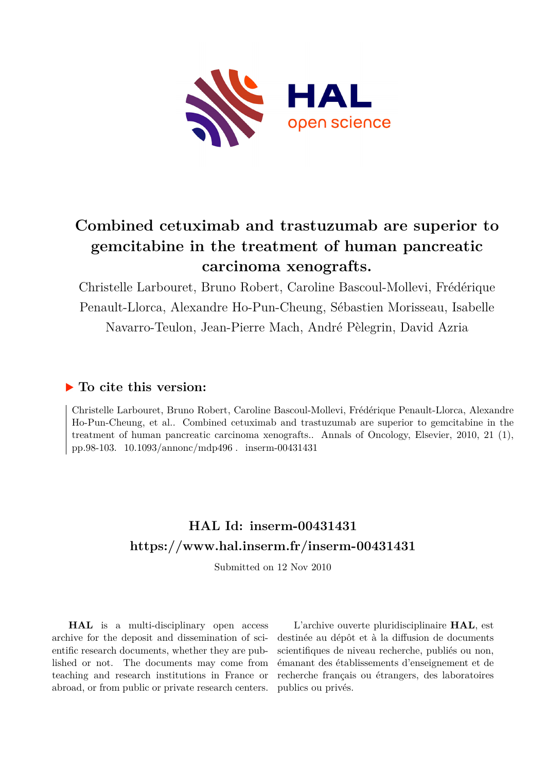

## **Combined cetuximab and trastuzumab are superior to gemcitabine in the treatment of human pancreatic carcinoma xenografts.**

Christelle Larbouret, Bruno Robert, Caroline Bascoul-Mollevi, Frédérique Penault-Llorca, Alexandre Ho-Pun-Cheung, Sébastien Morisseau, Isabelle Navarro-Teulon, Jean-Pierre Mach, André Pèlegrin, David Azria

## **To cite this version:**

Christelle Larbouret, Bruno Robert, Caroline Bascoul-Mollevi, Frédérique Penault-Llorca, Alexandre Ho-Pun-Cheung, et al.. Combined cetuximab and trastuzumab are superior to gemcitabine in the treatment of human pancreatic carcinoma xenografts.. Annals of Oncology, Elsevier, 2010, 21 (1), pp.98-103.  $10.1093/annone/mdp496$ . inserm-00431431

## **HAL Id: inserm-00431431 <https://www.hal.inserm.fr/inserm-00431431>**

Submitted on 12 Nov 2010

**HAL** is a multi-disciplinary open access archive for the deposit and dissemination of scientific research documents, whether they are published or not. The documents may come from teaching and research institutions in France or abroad, or from public or private research centers.

L'archive ouverte pluridisciplinaire **HAL**, est destinée au dépôt et à la diffusion de documents scientifiques de niveau recherche, publiés ou non, émanant des établissements d'enseignement et de recherche français ou étrangers, des laboratoires publics ou privés.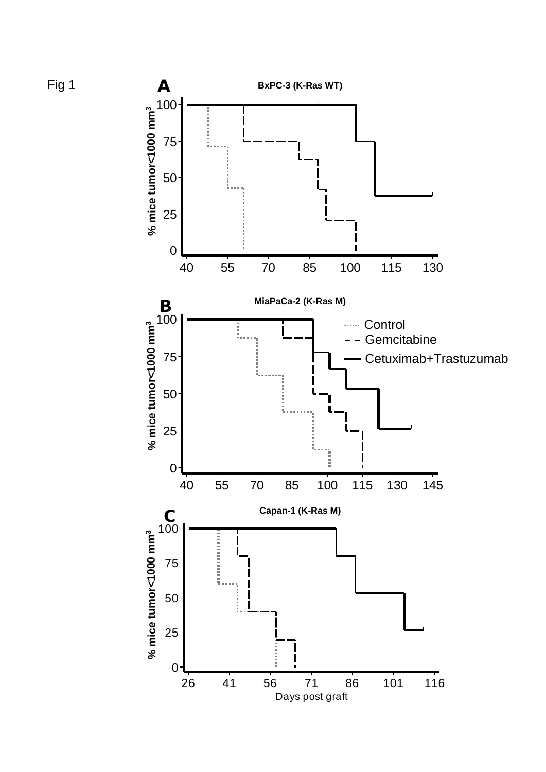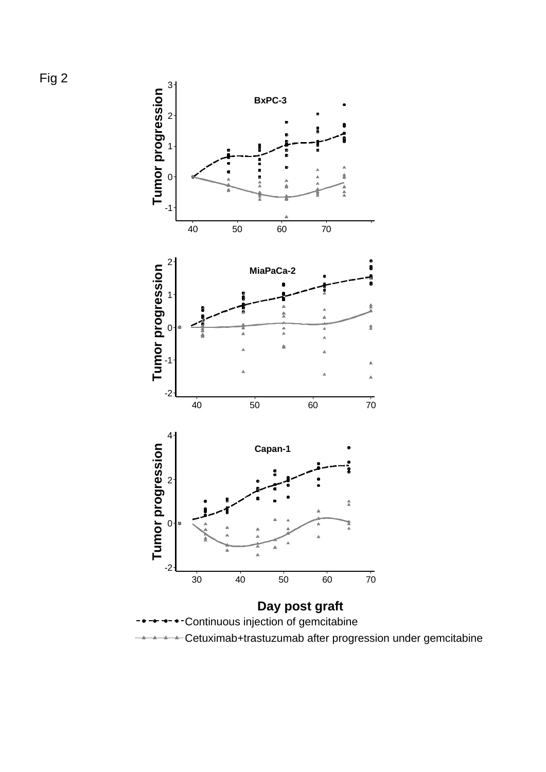

Cetuximab+trastuzumab after progression under gemcitabine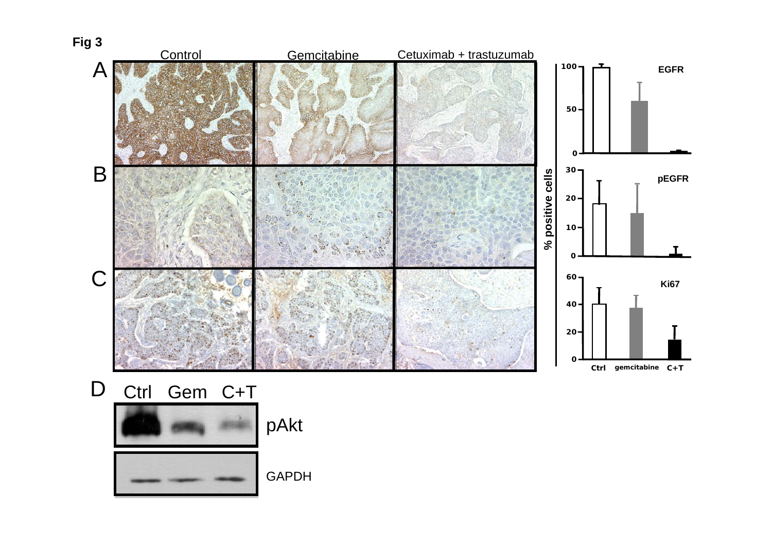

D Ctrl Gem C+T